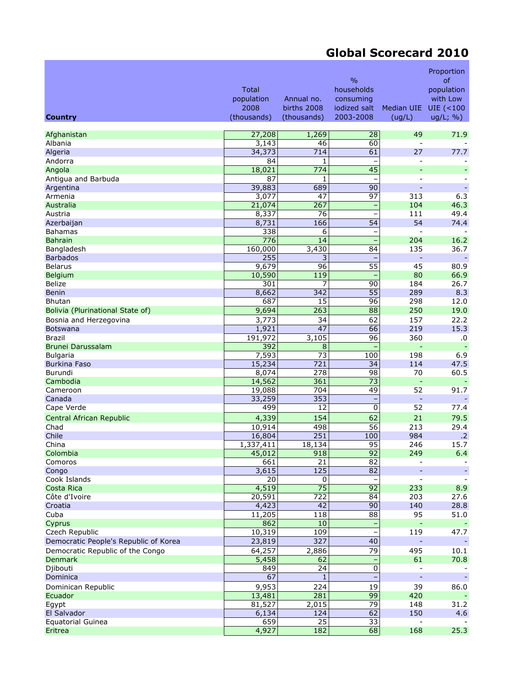## **Global Scorecard 2010**

|                                       | <b>Total</b><br>population<br>2008 | Annual no.<br>births 2008 | $\frac{0}{0}$<br>households<br>consuming<br>iodized salt | Median UIE               | Proportion<br>of<br>population<br>with Low<br>$UIE$ (<100 |
|---------------------------------------|------------------------------------|---------------------------|----------------------------------------------------------|--------------------------|-----------------------------------------------------------|
| <b>Country</b>                        | (thousands)                        | (thousands)               | 2003-2008                                                | (ug/L)                   | ug/L; %                                                   |
| Afghanistan                           | 27,208                             | 1,269                     | 28                                                       | 49                       | 71.9                                                      |
| Albania                               | 3,143                              | 46                        | 60                                                       |                          |                                                           |
| Algeria                               | 34,373                             | 714                       | 61                                                       | 27                       | 77.7                                                      |
| Andorra                               | 84                                 | 1                         |                                                          |                          |                                                           |
| Angola                                | 18,021                             | 774                       | $\overline{45}$                                          |                          |                                                           |
| Antigua and Barbuda                   | 87                                 | $\mathbf{1}$              |                                                          | $\overline{a}$           |                                                           |
| Argentina                             | 39,883                             | 689                       | 90                                                       | ٠                        |                                                           |
| Armenia                               | 3,077                              | 47                        | 97                                                       | 313                      | 6.3                                                       |
| Australia                             | 21,074                             | 267                       |                                                          | 104                      | 46.3                                                      |
| Austria                               | 8,337                              | 76                        | $\qquad \qquad -$                                        | 111                      | 49.4                                                      |
| Azerbaijan                            | 8,731                              | 166                       | 54                                                       | 54                       | 74.4                                                      |
| Bahamas<br><b>Bahrain</b>             | 338<br>776                         | 6<br>14                   | $\equiv$                                                 | 204                      | 16.2                                                      |
| Bangladesh                            | 160,000                            | 3,430                     | 84                                                       | 135                      | 36.7                                                      |
| <b>Barbados</b>                       | 255                                | 3                         |                                                          | ÷,                       | $\omega$                                                  |
| <b>Belarus</b>                        | 9,679                              | 96                        | $\overline{55}$                                          | 45                       | 80.9                                                      |
| <b>Belgium</b>                        | 10,590                             | 119                       |                                                          | 80                       | 66.9                                                      |
| <b>Belize</b>                         | 301                                | 7                         | 90                                                       | 184                      | 26.7                                                      |
| <b>Benin</b>                          | 8,662                              | 342                       | 55                                                       | 289                      | 8.3                                                       |
| <b>Bhutan</b>                         | 687                                | 15                        | 96                                                       | 298                      | 12.0                                                      |
| Bolivia (Plurinational State of)      | 9,694                              | 263                       | 88                                                       | 250                      | 19.0                                                      |
| Bosnia and Herzegovina                | 3,773                              | 34                        | 62                                                       | 157                      | 22.2                                                      |
| <b>Botswana</b>                       | 1,921                              | 47                        | 66                                                       | 219                      | 15.3                                                      |
| <b>Brazil</b>                         | 191,972                            | 3,105                     | 96                                                       | 360                      | .0                                                        |
| Brunei Darussalam                     | 392                                | 8                         |                                                          | ÷,                       |                                                           |
| <b>Bulgaria</b>                       | 7,593                              | 73                        | 100                                                      | 198                      | 6.9                                                       |
| <b>Burkina Faso</b>                   | 15,234                             | 721                       | 34                                                       | 114                      | 47.5                                                      |
| Burundi                               | 8,074                              | 278                       | 98                                                       | 70                       | 60.5                                                      |
| Cambodia<br>Cameroon                  | 14,562                             | 361<br>704                | $\overline{73}$<br>49                                    | $\blacksquare$<br>52     | 91.7                                                      |
| Canada                                | 19,088<br>33,259                   | 353                       | $\qquad \qquad -$                                        | Ξ                        |                                                           |
| Cape Verde                            | 499                                | 12                        | $\pmb{0}$                                                | 52                       | 77.4                                                      |
| Central African Republic              | 4,339                              | 154                       | 62                                                       | 21                       | 79.5                                                      |
| Chad                                  | 10,914                             | 498                       | 56                                                       | 213                      | 29.4                                                      |
| Chile                                 | 16,804                             | 251                       | 100                                                      | 984                      | $\cdot$ .2                                                |
| China                                 | 1,337,411                          | 18,134                    | 95                                                       | 246                      | 15.7                                                      |
| Colombia                              | 45,012                             | 918                       | 92                                                       | 249                      | 6.4                                                       |
| Comoros                               | 661                                | 21                        | 82                                                       |                          |                                                           |
| Congo                                 | 3,615                              | $\frac{125}{2}$           | 82                                                       |                          |                                                           |
| Cook Islands                          | 20                                 | 0                         |                                                          |                          |                                                           |
| Costa Rica                            | 4,519                              | $\overline{75}$           | 92                                                       | 233                      | 8.9                                                       |
| Côte d'Ivoire                         | 20,591                             | 722                       | 84                                                       | 203                      | 27.6                                                      |
| Croatia                               | 4,423                              | 42                        | 90                                                       | 140                      | 28.8                                                      |
| Cuba                                  | 11,205<br>862                      | 118<br>10                 | 88                                                       | 95<br>$\Box$             | 51.0                                                      |
| Cyprus<br>Czech Republic              | 10,319                             | 109                       | $\qquad \qquad -$                                        | 119                      | 47.7                                                      |
| Democratic People's Republic of Korea | 23,819                             | 327                       | 40                                                       |                          |                                                           |
| Democratic Republic of the Congo      | 64,257                             | 2,886                     | 79                                                       | 495                      | 10.1                                                      |
| <b>Denmark</b>                        | 5,458                              | 62                        |                                                          | 61                       | 70.8                                                      |
| Djibouti                              | 849                                | 24                        | $\pmb{0}$                                                | $\overline{a}$           |                                                           |
| Dominica                              | 67                                 | $\mathbf{1}$              |                                                          | $\overline{\phantom{a}}$ | $\sim$                                                    |
| Dominican Republic                    | 9,953                              | 224                       | 19                                                       | 39                       | 86.0                                                      |
| Ecuador                               | 13,481                             | 281                       | $\overline{99}$                                          | 420                      |                                                           |
| Egypt                                 | 81,527                             | 2,015                     | 79                                                       | 148                      | 31.2                                                      |
| El Salvador                           | 6,134                              | 124                       | 62                                                       | 150                      | 4.6                                                       |
| Equatorial Guinea                     | 659                                | 25                        | $\overline{33}$                                          |                          |                                                           |
| Eritrea                               | 4,927                              | 182                       | 68                                                       | 168                      | 25.3                                                      |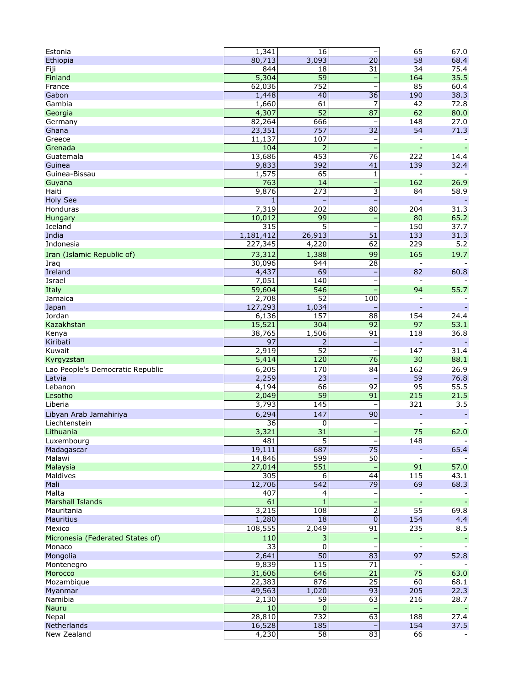| Estonia                          | 1,341     | 16               |                          | 65             | 67.0 |
|----------------------------------|-----------|------------------|--------------------------|----------------|------|
| Ethiopia                         | 80,713    | 3,093            | 20                       | 58             | 68.4 |
| Fiji                             | 844       | 18               | 31                       | 34             | 75.4 |
| Finland                          | 5,304     | $\overline{59}$  | ÷                        | 164            | 35.5 |
| France                           | 62,036    | 752              | $\overline{a}$           | 85             | 60.4 |
| Gabon                            | 1,448     | 40               | 36                       | 190            | 38.3 |
| Gambia                           | 1,660     | 61               | 7                        | 42             | 72.8 |
| Georgia                          | 4,307     | $\overline{52}$  | 87                       | 62             | 80.0 |
| Germany                          | 82,264    | 666              |                          | 148            | 27.0 |
| Ghana                            | 23,351    | 757              | 32                       | 54             | 71.3 |
| Greece                           | 11,137    | 107              |                          |                |      |
| Grenada                          | 104       | $\overline{2}$   | $\overline{\phantom{0}}$ | $\blacksquare$ |      |
| Guatemala                        | 13,686    | 453              | $\overline{76}$          | 222            | 14.4 |
| Guinea                           | 9,833     | 392              | 41                       | 139            | 32.4 |
| Guinea-Bissau                    | 1,575     | 65               | 1                        | $\overline{a}$ |      |
| Guyana                           | 763       | 14               | ÷                        | 162            | 26.9 |
| Haiti                            | 9,876     | 273              | 3                        | 84             | 58.9 |
| <b>Holy See</b>                  | 1         |                  |                          |                |      |
| Honduras                         | 7,319     | 202              | 80                       | 204            | 31.3 |
| Hungary                          | 10,012    | 99               |                          | 80             | 65.2 |
| Iceland                          | 315       | 5                | $\overline{\phantom{0}}$ | 150            | 37.7 |
| India                            | 1,181,412 | 26,913           | 51                       | 133            | 31.3 |
|                                  |           |                  | 62                       |                |      |
| Indonesia                        | 227,345   | 4,220            |                          | 229            | 5.2  |
| Iran (Islamic Republic of)       | 73,312    | 1,388            | 99                       | 165            | 19.7 |
| Iraq                             | 30,096    | 944              | 28                       | $\overline{a}$ |      |
| Ireland                          | 4,437     | 69               |                          | 82             | 60.8 |
| Israel                           | 7,051     | 140              | <b>-</b>                 |                |      |
| Italy                            | 59,604    | $\overline{546}$ | L,                       | 94             | 55.7 |
| Jamaica                          | 2,708     | 52               | 100                      |                |      |
| Japan                            | 127,293   | 1,034            |                          | L,             |      |
| Jordan                           | 6,136     | 157              | 88                       | 154            | 24.4 |
| Kazakhstan                       | 15,521    | 304              | 92                       | 97             | 53.1 |
| Kenya                            | 38,765    | 1,506            | 91                       | 118            | 36.8 |
| Kiribati                         | 97        | $\overline{2}$   |                          | ä,             |      |
| Kuwait                           | 2,919     | 52               | $\qquad \qquad -$        | 147            | 31.4 |
| Kyrgyzstan                       | 5,414     | 120              | $\overline{76}$          | 30             | 88.1 |
| Lao People's Democratic Republic | 6,205     | 170              | 84                       | 162            | 26.9 |
| Latvia                           | 2,259     | 23               |                          | 59             | 76.8 |
| Lebanon                          | 4,194     | 66               | 92                       | 95             | 55.5 |
| Lesotho                          | 2,049     | 59               | 91                       | 215            | 21.5 |
| Liberia                          | 3,793     | 145              |                          | 321            | 3.5  |
| Libyan Arab Jamahiriya           | 6,294     |                  | 90                       |                |      |
| Liechtenstein                    | 36        | 147              |                          |                |      |
|                                  |           | 0<br>31          |                          |                |      |
| Lithuania                        | 3,321     |                  | ÷                        | 75             | 62.0 |
| Luxembourg                       | 481       | 5                |                          | 148            |      |
| Madagascar                       | 19,111    | 687              | 75                       |                | 65.4 |
| Malawi                           | 14,846    | 599              | $\overline{50}$          |                |      |
| Malaysia                         | 27,014    | $\overline{551}$ |                          | 91             | 57.0 |
| Maldives                         | 305       | 6                | 44                       | 115            | 43.1 |
| Mali                             | 12,706    | $\overline{542}$ | $\overline{79}$          | 69             | 68.3 |
| Malta                            | 407       | 4                |                          |                |      |
| <b>Marshall Islands</b>          | 61        | $\mathbf{1}$     | ÷                        |                |      |
| Mauritania                       | 3,215     | 108              | $\overline{2}$           | 55             | 69.8 |
| <b>Mauritius</b>                 | 1,280     | 18               | $\overline{0}$           | 154            | 4.4  |
| Mexico                           | 108,555   | 2,049            | 91                       | 235            | 8.5  |
| Micronesia (Federated States of) | 110       | 3                |                          |                |      |
| Monaco                           | 33        | $\overline{0}$   | $\overline{a}$           | $\blacksquare$ |      |
| Mongolia                         | 2,641     | $\overline{50}$  | $\overline{83}$          | 97             | 52.8 |
| Montenegro                       | 9,839     | 115              | 71                       |                |      |
| Morocco                          | 31,606    | 646              | $\overline{21}$          | 75             | 63.0 |
| Mozambique                       | 22,383    | 876              | $\overline{25}$          | 60             | 68.1 |
| Myanmar                          | 49,563    | 1,020            | 93                       | 205            | 22.3 |
| Namibia                          | 2,130     | 59               | 63                       | 216            | 28.7 |
| Nauru                            | 10        | $\overline{0}$   |                          | $\blacksquare$ |      |
| Nepal                            | 28,810    | 732              | 63                       | 188            | 27.4 |
| Netherlands                      | 16,528    | 185              |                          | 154            | 37.5 |
| New Zealand                      | 4,230     | $\overline{58}$  | 83                       | 66             |      |
|                                  |           |                  |                          |                |      |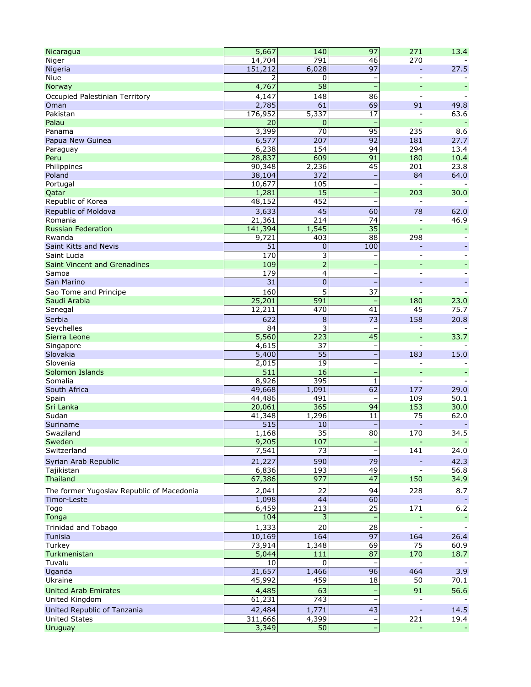| Nicaragua                                 | 5,667             | 140             | 97                       | 271                      | 13.4           |
|-------------------------------------------|-------------------|-----------------|--------------------------|--------------------------|----------------|
| Niger                                     | 14,704            | 791             | 46                       | 270                      |                |
| Nigeria                                   | 151,212           | 6,028           | 97                       | $\equiv$                 | 27.5           |
| Niue                                      | 2                 | 0               | -                        | $\overline{\phantom{a}}$ |                |
| Norway                                    | 4,767             | $\overline{58}$ | $\equiv$                 |                          |                |
| Occupied Palestinian Territory            | 4,147             | 148             | 86                       | $\overline{\phantom{a}}$ |                |
| Oman                                      | 2,785             | 61              | 69                       | 91                       | 49.8           |
| Pakistan                                  | 176,952           | 5,337           | 17                       | $\overline{a}$           | 63.6           |
| Palau                                     | 20                | 0               |                          |                          |                |
| Panama                                    | 3,399             | 70              | 95                       | 235                      | 8.6            |
| Papua New Guinea                          | 6,577             | 207             | 92                       | 181                      | 27.7           |
| Paraguay                                  | 6,238             | 154             | 94                       | 294                      | 13.4           |
| Peru                                      | 28,837            | 609             | 91                       | 180                      | 10.4           |
| Philippines                               | 90,348            | 2,236           | 45                       | 201<br>84                | 23.8           |
| Poland                                    | 38,104            | 372             |                          | $\overline{a}$           | 64.0           |
| Portugal<br>Qatar                         | 10,677<br>1,281   | 105<br>15       | $\qquad \qquad -$<br>÷,  | 203                      | 30.0           |
| Republic of Korea                         | 48,152            | 452             |                          |                          |                |
|                                           | 3,633             | 45              | 60                       | 78                       |                |
| Republic of Moldova<br>Romania            |                   | 214             | 74                       | $\overline{\phantom{a}}$ | 62.0<br>46.9   |
| <b>Russian Federation</b>                 | 21,361<br>141,394 | 1,545           | 35                       |                          |                |
| Rwanda                                    | 9,721             | 403             | 88                       | 298                      |                |
| Saint Kitts and Nevis                     | 51                | 0               | 100                      |                          |                |
| Saint Lucia                               | 170               | 3               | ۳                        |                          |                |
| <b>Saint Vincent and Grenadines</b>       | 109               | $\overline{2}$  |                          |                          |                |
| Samoa                                     | 179               | 4               | -<br>$\qquad \qquad -$   | $\sim$                   |                |
| San Marino                                | 31                | 0               |                          |                          |                |
| Sao Tome and Principe                     | 160               | 5               | 37                       |                          |                |
| Saudi Arabia                              | 25,201            | 591             |                          | 180                      | 23.0           |
| Senegal                                   | 12,211            | 470             | 41                       | 45                       | 75.7           |
| Serbia                                    | 622               |                 | 73                       | 158                      | 20.8           |
| Seychelles                                | 84                | 8<br>3          | $\qquad \qquad -$        | $\overline{\phantom{a}}$ |                |
| Sierra Leone                              | 5,560             | 223             | $\overline{45}$          |                          | 33.7           |
| Singapore                                 | 4,615             | 37              | $\qquad \qquad -$        | $\blacksquare$           |                |
| Slovakia                                  | 5,400             | 55              | ÷,                       | 183                      | 15.0           |
| Slovenia                                  | 2,015             | 19              |                          |                          |                |
| Solomon Islands                           | 511               | 16              | ÷                        |                          |                |
| Somalia                                   | 8,926             | 395             | 1                        | $\blacksquare$           |                |
| South Africa                              | 49,668            | 1,091           | 62                       | 177                      | 29.0           |
| Spain                                     | 44,486            | 491             | $\qquad \qquad -$        | 109                      | 50.1           |
| Sri Lanka                                 | 20,061            | 365             | 94                       | 153                      | 30.0           |
| Sudan                                     | 41,348            | 1,296           | 11                       | 75                       | 62.0           |
| Suriname                                  | 515               | 10              |                          |                          |                |
| Swaziland                                 | 1,168             | $\overline{35}$ | 80                       | 170                      | 34.5           |
| Sweden                                    | 9,205             | 107             | ÷                        | $\equiv$                 | $\blacksquare$ |
| Switzerland                               | 7,541             | 73              | $\overline{\phantom{0}}$ | 141                      | 24.0           |
| Syrian Arab Republic                      | 21,227            | 590             | 79                       |                          | 42.3           |
| Tajikistan                                | 6,836             | 193             | 49                       | $\overline{\phantom{a}}$ | 56.8           |
| <b>Thailand</b>                           | 67,386            | 977             | 47                       | 150                      | 34.9           |
| The former Yugoslav Republic of Macedonia | 2,041             | 22              | 94                       | 228                      | 8.7            |
| Timor-Leste                               | 1,098             | 44              | 60                       |                          |                |
| Togo                                      | 6,459             | 213             | $\overline{25}$          | 171                      | $6.2$          |
| Tonga                                     | 104               | 3               |                          |                          |                |
| Trinidad and Tobago                       | 1,333             | 20              | 28                       |                          |                |
| <b>Tunisia</b>                            | 10,169            | 164             | 97                       | 164                      | 26.4           |
| Turkey                                    | 73,914            | 1,348           | 69                       | 75                       | 60.9           |
| Turkmenistan                              | 5,044             | 111             | 87                       | 170                      | 18.7           |
| Tuvalu                                    | 10                | 0               |                          | $\blacksquare$           |                |
| Uganda                                    | 31,657            | 1,466           | $\overline{96}$          | 464                      | 3.9            |
| Ukraine                                   | 45,992            | 459             | 18                       | 50                       | 70.1           |
| <b>United Arab Emirates</b>               | 4,485             | 63              |                          | 91                       | 56.6           |
| United Kingdom                            | 61,231            | 743             | $\overline{\phantom{0}}$ |                          |                |
| United Republic of Tanzania               | 42,484            | 1,771           | 43                       |                          | 14.5           |
| <b>United States</b>                      | 311,666           | 4,399           | $\overline{\phantom{a}}$ | 221                      | 19.4           |
| Uruguay                                   | 3,349             | 50              | ÷                        | $\Box$                   |                |
|                                           |                   |                 |                          |                          |                |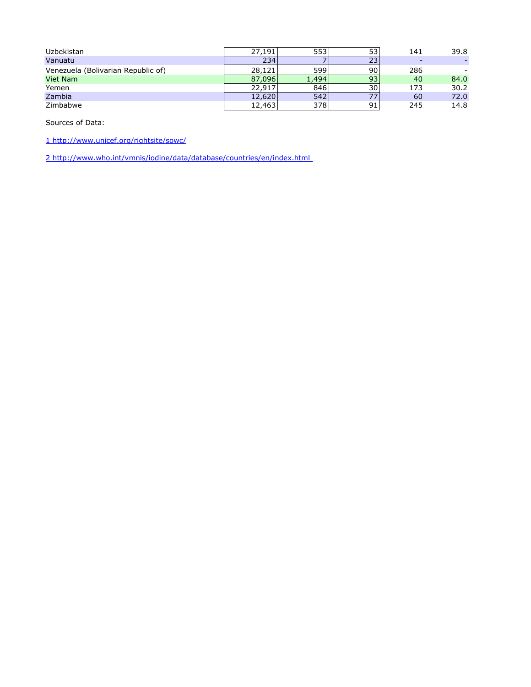| Uzbekistan                         | 27,191 | 553   | 53 | 141 | 39.8 |
|------------------------------------|--------|-------|----|-----|------|
| Vanuatu                            | 234    |       | 23 | -   |      |
| Venezuela (Bolivarian Republic of) | 28,121 | 599   | 90 | 286 |      |
| Viet Nam                           | 87,096 | 1,494 | 93 | 40  | 84.0 |
| Yemen                              | 22,917 | 846   | 30 | 173 | 30.2 |
| Zambia                             | 12,620 | 542   | 77 | 60  | 72.0 |
| Zimbabwe                           | 12,463 | 378   | 91 | 245 | 14.8 |

Sources of Data:

[1 http://www.unicef.org/rightsite/sowc/](http://www.unicef.org/sowc07/statistics/tables.php)

[2 http://www.who.int/vmnis/iodine/data/database/countries/en/index.html](http://www.who.int/vmnis/iodine/data/database/countries/en/index.html)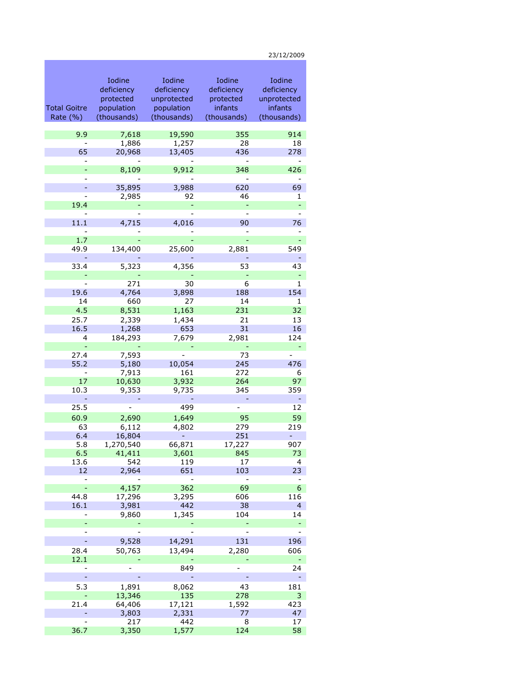Total Goitre Rate (%) Iodine deficiency protected population (thousands) Iodine deficiency unprotected population (thousands) Iodine deficiency protected infants (thousands) Iodine deficiency unprotected infants (thousands) 9.9 7,618 19,590 355 914 - 1,886 1,257 28 18<br>65 20,968 13,405 436 278 65 20,968 13,405 436 278 - - - - - - 8,109 9,912 348 426 - - - - - - 35,895 3,988 620 69 - 2,985 92 46 1  $19.4$  . The contract of the contract of the contract of the contract of the contract of the contract of the contract of the contract of the contract of the contract of the contract of the contract of the contract of the - - - - - 11.1 4,715 4,016 90 76 - - - - -  $1.7$  - - - - - - - - - - - - - - -49.9 134,400 25,600 2,881 549 - - - - - 33.4 5,323 4,356 53 43 - - - - - - 271 30 6 1 19.6 4,764 3,898 188 154 14 660 27 14 1 4.5 8,531 1,163 231 32 25.7 2,339 1,434 21 13 16.5 1,268 653 31 16 4 184,293 7,679 2,981 124 - - - - - 27.4 7,593 - 73 - 55.2 5,180 10,054 245 476 - 7,913 161 272 6<br>17 10,630 3,932 264 97 10,630 3,932 264 97 10.3 9,353 9,735 345 359 - - - - - 25.5 - 499 - 12 60.9 2,690 1,649 95 59 63 6,112 4,802 279 219 6.4 16,804 - 251 - 5.8 1,270,540 66,871 17,227 907 6.5 41,411 3,601 845 73 13.6 542 119 17 4 12 2,964 651 103 23 - - - - - - 4,157 362 69 6<br>8 17,296 3,295 606 116 44.8 17,296 3,295 606 116 16.1 3,981 442 38 4 - 9,860 1,345 104 14 - - - - - - - - - - - 9,528 14,291 131 196 28.4 50,763 13,494 2,280 606  $12.1$  . The contract of the contract of the contract of the contract of the contract of the contract of the contract of the contract of the contract of the contract of the contract of the contract of the contract of the - - 849 - 24 - - - - - 5.3 1,891 8,062 43 181 - 13,346 135 278 3 21.4 64,406 17,121 1,592 423 - 3,803 2,331 77 47 - 217 442 8 17

36.7 3,350 1,577 124 58

23/12/2009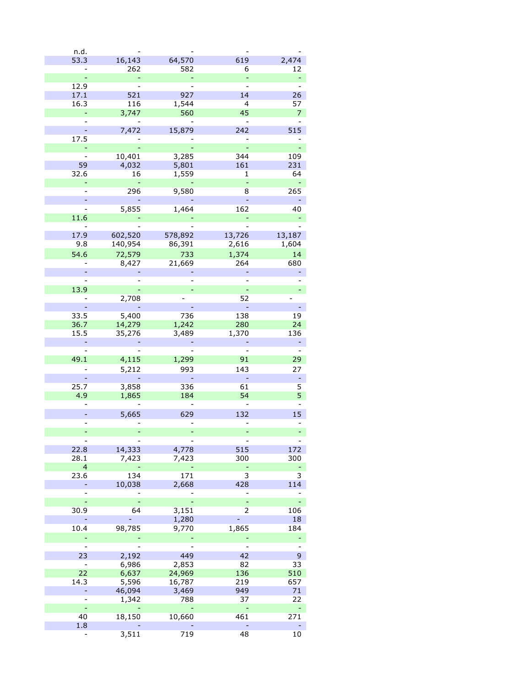| n.d.                     |         |         |                |                |
|--------------------------|---------|---------|----------------|----------------|
| 53.3                     | 16,143  | 64,570  | 619            | 2,474          |
|                          | 262     | 582     | 6              | 12             |
|                          |         |         |                |                |
|                          |         |         |                |                |
| 12.9                     |         |         |                |                |
| 17.1                     | 521     | 927     | 14             | 26             |
| 16.3                     | 116     | 1,544   | $\overline{4}$ | 57             |
| $\overline{\phantom{a}}$ | 3,747   | 560     | 45             | 7              |
|                          |         |         |                |                |
|                          | 7,472   | 15,879  | 242            | 515            |
| 17.5                     |         |         |                |                |
|                          |         |         |                |                |
|                          |         |         |                |                |
|                          | 10,401  | 3,285   | 344            | 109            |
| 59                       | 4,032   | 5,801   | 161            | 231            |
| 32.6                     | 16      | 1,559   | 1              | 64             |
|                          |         |         |                |                |
|                          | 296     | 9,580   | 8              | 265            |
|                          |         |         |                |                |
|                          |         |         |                |                |
|                          | 5,855   | 1,464   | 162            | 40             |
| 11.6                     |         |         |                |                |
|                          |         |         |                |                |
| 17.9                     | 602,520 | 578,892 | 13,726         | 13,187         |
| 9.8                      | 140,954 | 86,391  | 2,616          | 1,604          |
| 54.6                     |         | 733     | 1,374          | 14             |
|                          | 72,579  |         |                |                |
|                          | 8,427   | 21,669  | 264            | 680            |
|                          |         |         |                |                |
|                          |         |         |                |                |
| 13.9                     |         |         |                |                |
|                          | 2,708   |         | 52             |                |
|                          |         |         |                |                |
|                          |         |         |                |                |
| 33.5                     | 5,400   | 736     | 138            | 19             |
| 36.7                     | 14,279  | 1,242   | 280            | 24             |
| 15.5                     | 35,276  | 3,489   | 1,370          | 136            |
|                          |         |         |                |                |
|                          |         |         |                |                |
| 49.1                     | 4,115   | 1,299   | 91             | 29             |
|                          |         |         |                |                |
|                          | 5,212   | 993     | 143            | 27             |
|                          |         |         |                |                |
| 25.7                     | 3,858   | 336     | 61             | 5              |
| 4.9                      | 1,865   | 184     | 54             | 5              |
|                          |         |         |                |                |
|                          |         |         |                |                |
|                          | 5,665   | 629     | 132            | 15             |
|                          |         |         |                |                |
| -                        | ÷       |         |                |                |
|                          |         |         |                |                |
| 22.8                     | 14,333  | 4,778   | 515            | 172            |
| 28.1                     | 7,423   | 7,423   | 300            | 300            |
| 4                        |         |         |                |                |
|                          |         |         | ۳              | ÷              |
| 23.6                     | 134     | 171     | 3              | 3              |
|                          | 10,038  | 2,668   | 428            | 114            |
|                          |         |         |                |                |
| $\blacksquare$           | L,      |         |                | $\blacksquare$ |
| 30.9                     | 64      | 3,151   | 2              | 106            |
|                          |         | 1,280   |                | 18             |
| 10.4                     | 98,785  | 9,770   | 1,865          | 184            |
|                          |         |         |                |                |
|                          |         |         |                |                |
|                          |         |         |                |                |
| 23                       | 2,192   | 449     | 42             | 9              |
|                          | 6,986   | 2,853   | 82             | 33             |
| 22                       | 6,637   | 24,969  | 136            | 510            |
| 14.3                     | 5,596   | 16,787  | 219            | 657            |
|                          |         | 3,469   | 949            | 71             |
|                          | 46,094  |         |                |                |
|                          | 1,342   | 788     | 37             | 22             |
| ÷                        |         |         |                |                |
| 40                       | 18,150  | 10,660  | 461            | 271            |
| 1.8                      |         |         |                |                |
|                          | 3,511   | 719     | 48             | 10             |
|                          |         |         |                |                |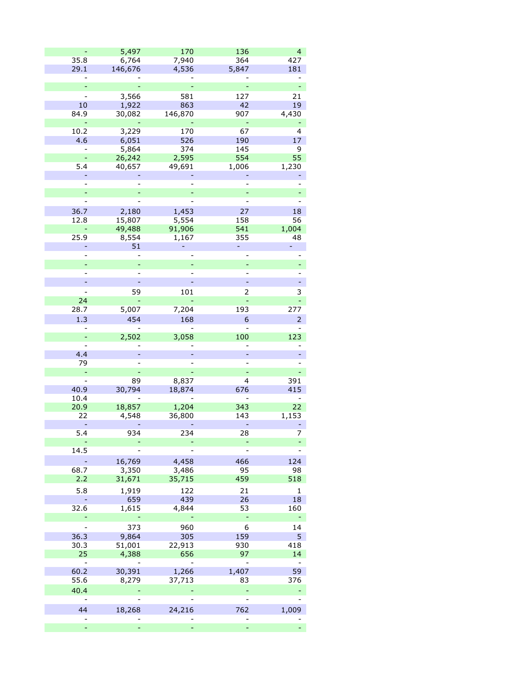|                | 5,497   | 170     | 136            | $\overline{4}$ |
|----------------|---------|---------|----------------|----------------|
| 35.8           | 6,764   | 7,940   | 364            | 427            |
| 29.1           | 146,676 | 4,536   | 5,847          | 181            |
|                |         |         |                |                |
|                |         |         |                |                |
|                | 3,566   | 581     | 127            | 21             |
|                |         |         |                |                |
| 10             | 1,922   | 863     | 42             | 19             |
| 84.9           | 30,082  | 146,870 | 907            | 4,430          |
|                |         |         |                |                |
| 10.2           | 3,229   | 170     | 67             | 4              |
| 4.6            | 6,051   | 526     | 190            | 17             |
|                | 5,864   | 374     | 145            | 9              |
|                | 26,242  | 2,595   | 554            | 55             |
| 5.4            | 40,657  | 49,691  | 1,006          | 1,230          |
|                |         |         |                |                |
|                |         |         |                |                |
|                |         |         |                |                |
|                |         |         |                |                |
| 36.7           | 2,180   | 1,453   | 27             | 18             |
| 12.8           | 15,807  | 5,554   | 158            | 56             |
|                | 49,488  | 91,906  | 541            | 1,004          |
| 25.9           | 8,554   | 1,167   | 355            | 48             |
|                | 51      |         |                | ÷,             |
|                |         |         |                |                |
|                |         |         |                |                |
|                |         |         |                |                |
|                |         |         |                |                |
|                | 59      | 101     | 2              | 3              |
| 24             |         |         |                |                |
| 28.7           |         | 7,204   | 193            | 277            |
|                | 5,007   |         |                |                |
| 1.3            | 454     | 168     | 6              | $\overline{2}$ |
|                |         |         |                |                |
| ÷,             | 2,502   | 3,058   | 100            | 123            |
|                |         |         |                |                |
| 4.4            |         |         |                |                |
| 79             |         |         |                |                |
|                |         |         |                |                |
| $\overline{a}$ | 89      | 8,837   | 4              | 391            |
| 40.9           | 30,794  | 18,874  | 676            | 415            |
| 10.4           |         |         |                |                |
| 20.9           | 18,857  | 1,204   | 343            | 22             |
| 22             | 4,548   | 36,800  | 143            | 1,153          |
| ÷              |         |         | ۳              |                |
| 5.4            | 934     | 234     | 28             | 7              |
|                |         | -       |                |                |
| 14.5           |         |         |                |                |
|                | 16,769  | 4,458   | 466            | 124            |
| 68.7           | 3,350   | 3,486   | 95             | 98             |
| 2.2            | 31,671  | 35,715  | 459            | 518            |
| 5.8            | 1,919   | 122     | 21             | $\mathbf 1$    |
|                | 659     | 439     | 26             | 18             |
| 32.6           |         |         |                | 160            |
|                | 1,615   | 4,844   | 53<br>÷,       |                |
|                |         |         |                |                |
|                | 373     | 960     | 6              | 14             |
| 36.3           | 9,864   | 305     | 159            | 5              |
| 30.3           | 51,001  | 22,913  | 930            | 418            |
| 25             | 4,388   | 656     | 97             | 14             |
| -              |         |         |                |                |
| 60.2           | 30,391  | 1,266   | 1,407          | 59             |
| 55.6           | 8,279   | 37,713  | 83             | 376            |
| 40.4           |         |         |                |                |
|                |         |         | $\overline{a}$ |                |
| 44             | 18,268  | 24,216  | 762            | 1,009          |
|                |         |         |                |                |
|                |         |         | ÷,             |                |